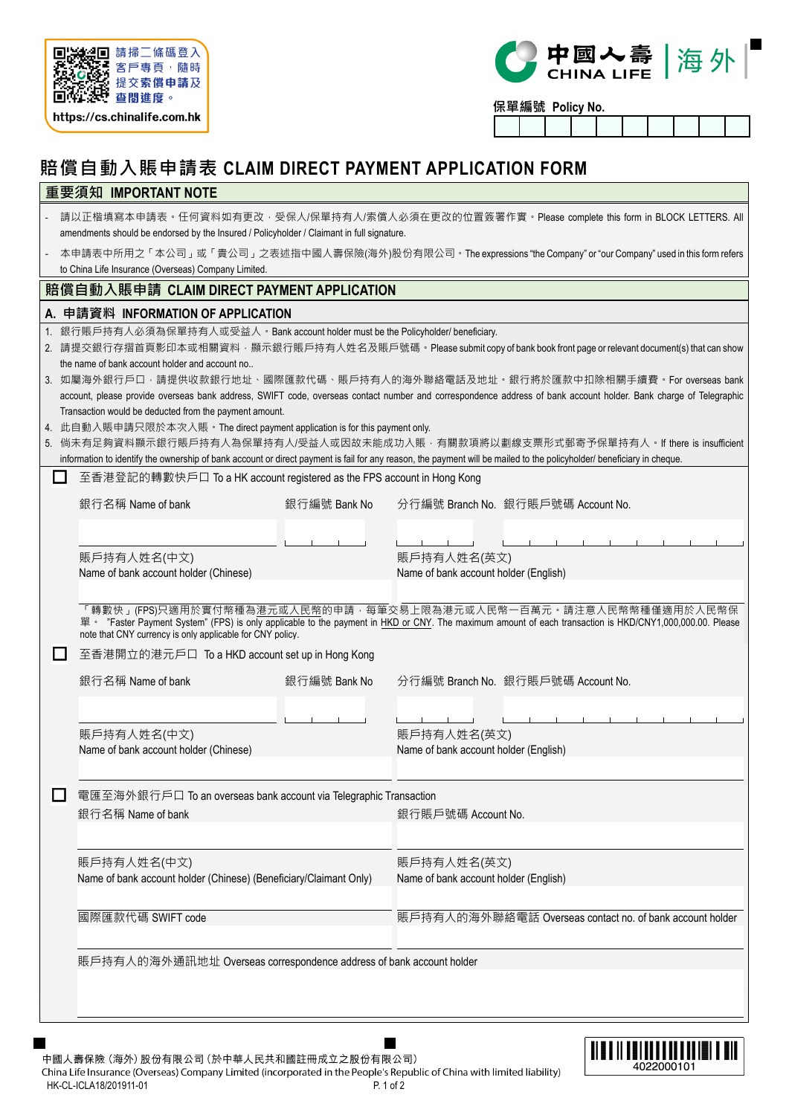



**保單編號 Policy No.**

# **賠償自動入賬申請表 CLAIM DIRECT PAYMENT APPLICATION FORM**

# **重要須知 IMPORTANT NOTE**

| 請以正楷填寫本申請表。任何資料如有更改‧受保人/保單持有人/索償人必須在更改的位置簽署作實。Please complete this form in BLOCK LETTERS. All |
|-----------------------------------------------------------------------------------------------|
| amendments should be endorsed by the Insured / Policyholder / Claimant in full signature.     |

‐ 本申請表中所用之「本公司」或「貴公司」之表述指中國人壽保險(海外)股份有限公司。The expressions "the Company" or "our Company" used in this form refers to China Life Insurance (Overseas) Company Limited.

# **賠償自動入賬申請 CLAIM DIRECT PAYMENT APPLICATION**

## **A. 申請資料 INFORMATION OF APPLICATION**

- 1. 銀行賬戶持有人必須為保單持有人或受益人。Bank account holder must be the Policyholder/ beneficiary.
- 2. 請提交銀行存摺首頁影印本或相關資料,顯示銀行賬戶持有人姓名及賬戶號碼。Please submit copy of bank book front page or relevant document(s) that can show the name of bank account holder and account no..
- 3. 如屬海外銀行戶口,請提供收款銀行地址、國際匯款代碼、賬戶持有人的海外聯絡電話及地址。銀行將於匯款中扣除相關手續費。For overseas bank account, please provide overseas bank address, SWIFT code, overseas contact number and correspondence address of bank account holder. Bank charge of Telegraphic Transaction would be deducted from the payment amount.
- 4. 此自動入賬申請只限於本次入賬。The direct payment application is for this payment only.
- 5. 倘未有足夠資料顯示銀行賬戶持有人為保單持有人/受益人或因故未能成功入賬,有關款項將以劃線支票形式郵寄予保單持有人。If there is insufficient information to identify the ownership of bank account or direct payment is fail for any reason, the payment will be mailed to the policyholder/ beneficiary in cheque.

### **□** 至香港登記的轉數快戶口 To a HK account registered as the FPS account in Hong Kong

|        | 銀行名稱 Name of bank                                                                | 銀行編號 Bank No |                                                          | 分行編號 Branch No. 銀行賬戶號碼 Account No.                                                                                                                                                                                                       |  |  |  |  |  |  |
|--------|----------------------------------------------------------------------------------|--------------|----------------------------------------------------------|------------------------------------------------------------------------------------------------------------------------------------------------------------------------------------------------------------------------------------------|--|--|--|--|--|--|
|        | 賬戶持有人姓名(中文)<br>Name of bank account holder (Chinese)                             |              | 賬戶持有人姓名(英文)<br>Name of bank account holder (English)     |                                                                                                                                                                                                                                          |  |  |  |  |  |  |
|        | note that CNY currency is only applicable for CNY policy.                        |              |                                                          | 「轉數快」(FPS)只適用於實付幣種為 <u>港元或人民幣</u> 的申請 · 每筆交易上限為港元或人民幣一百萬元 · 請注意人民幣幣種僅適用於人民幣保<br>單 · "Faster Payment System" (FPS) is only applicable to the payment in HKD or CNY. The maximum amount of each transaction is HKD/CNY1,000,000.00. Please |  |  |  |  |  |  |
| ப      | 至香港開立的港元戶口 To a HKD account set up in Hong Kong<br>銀行名稱 Name of bank             | 銀行編號 Bank No |                                                          | 分行編號 Branch No. 銀行賬戶號碼 Account No.                                                                                                                                                                                                       |  |  |  |  |  |  |
|        | 賬戶持有人姓名(中文)<br>Name of bank account holder (Chinese)                             |              | 賬戶持有人姓名(英文)<br>Name of bank account holder (English)     |                                                                                                                                                                                                                                          |  |  |  |  |  |  |
| $\Box$ | 電匯至海外銀行戶口 To an overseas bank account via Telegraphic Transaction                |              |                                                          |                                                                                                                                                                                                                                          |  |  |  |  |  |  |
|        | 銀行名稱 Name of bank                                                                |              | 銀行賬戶號碼 Account No.                                       |                                                                                                                                                                                                                                          |  |  |  |  |  |  |
|        | 賬戶持有人姓名(中文)<br>Name of bank account holder (Chinese) (Beneficiary/Claimant Only) |              | 賬戶持有人姓名(英文)<br>Name of bank account holder (English)     |                                                                                                                                                                                                                                          |  |  |  |  |  |  |
|        | 國際匯款代碼 SWIFT code                                                                |              | 賬戶持有人的海外聯絡電話 Overseas contact no. of bank account holder |                                                                                                                                                                                                                                          |  |  |  |  |  |  |
|        | 賬戶持有人的海外通訊地址 Overseas correspondence address of bank account holder              |              |                                                          |                                                                                                                                                                                                                                          |  |  |  |  |  |  |

中國人壽保險 (海外) 股份有限公司 (於中華人民共和國註冊成立之股份有限公司) China Life Insurance (Overseas) Company Limited (incorporated in the People's Republic of China with limited liability) HK-CL-ICLA18/201911-01 P. 1 of 2